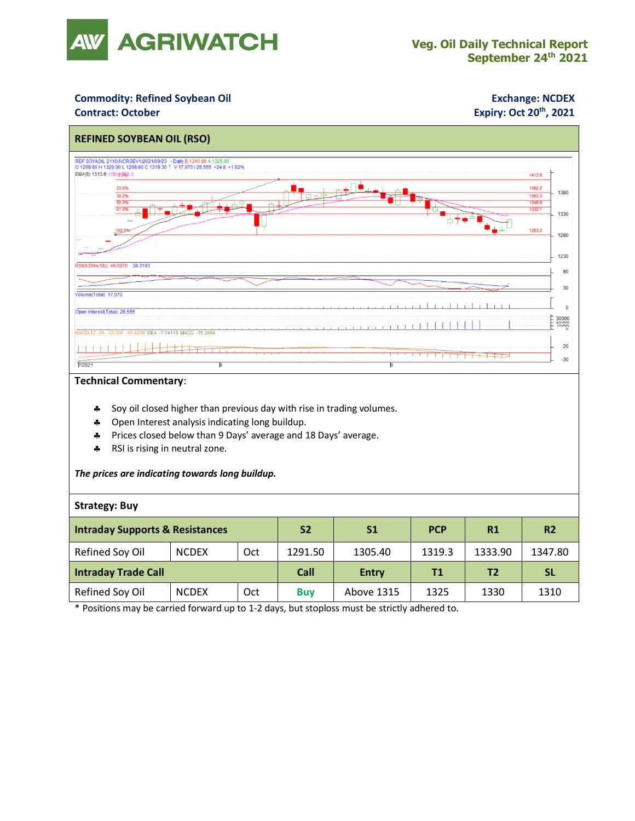

## **Commodity: Refined Soybean Oil <b>Exchange: NCDEX**

### **Contract: October**

# **Expiry: Oct 20<sup>th</sup>, 2021**



#### **Technical Commentary**:

- Soy oil closed higher than previous day with rise in trading volumes.
- **4** Open Interest analysis indicating long buildup.
- Prices closed below than 9 Days' average and 18 Days' average.
- \* RSI is rising in neutral zone.

#### *The prices are indicating towards long buildup.*

#### **Strategy: Buy**

| <b>Intraday Supports &amp; Resistances</b> |              |     | <b>S2</b>  | S <sub>1</sub> | <b>PCP</b> | R1             | <b>R2</b> |
|--------------------------------------------|--------------|-----|------------|----------------|------------|----------------|-----------|
| Refined Soy Oil                            | <b>NCDEX</b> | Oct | 1291.50    | 1305.40        | 1319.3     | 1333.90        | 1347.80   |
| <b>Intraday Trade Call</b>                 |              |     | Call       | <b>Entry</b>   | <b>T1</b>  | T <sub>2</sub> | <b>SL</b> |
| Refined Soy Oil                            | <b>NCDEX</b> | Oct | <b>Buv</b> | Above 1315     | 1325       | 1330           | 1310      |

\* Positions may be carried forward up to 1-2 days, but stoploss must be strictly adhered to.